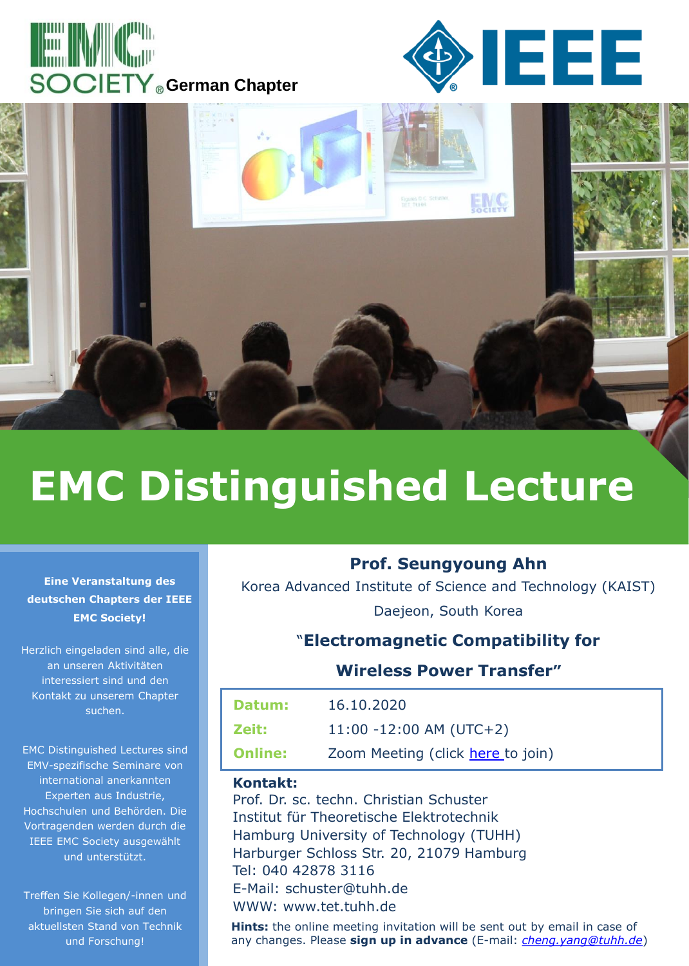





# **EMC Distinguished Lecture**

#### **Eine Veranstaltung des deutschen Chapters der IEEE EMC Society!**

Herzlich eingeladen sind alle, die an unseren Aktivitäten interessiert sind und den Kontakt zu unserem Chapter suchen.

EMC Distinguished Lectures sind EMV-spezifische Seminare von international anerkannten Experten aus Industrie, Hochschulen und Behörden. Die Vortragenden werden durch die IEEE EMC Society ausgewählt und unterstützt.

Treffen Sie Kollegen/-innen und bringen Sie sich auf den aktuellsten Stand von Technik und Forschung!

## **Prof. Seungyoung Ahn**

Korea Advanced Institute of Science and Technology (KAIST) Daejeon, South Korea

# "**Electromagnetic Compatibility for**

## **Wireless Power Transfer"**

| Datum:         | 16.10.2020                        |
|----------------|-----------------------------------|
| Zeit:          | $11:00 - 12:00$ AM (UTC+2)        |
| <b>Online:</b> | Zoom Meeting (click here to join) |

### **Kontakt:**

Prof. Dr. sc. techn. Christian Schuster Institut für Theoretische Elektrotechnik Hamburg University of Technology (TUHH) Harburger Schloss Str. 20, 21079 Hamburg Tel: 040 42878 3116 E-Mail: schuster@tuhh.de WWW: www.tet.tuhh.de

**Hints:** the online meeting invitation will be sent out by email in case of any changes. Please **sign up in advance** (E-mail: *[cheng.yang@tuhh.de](mailto:cheng.yang@tuhh.de)*)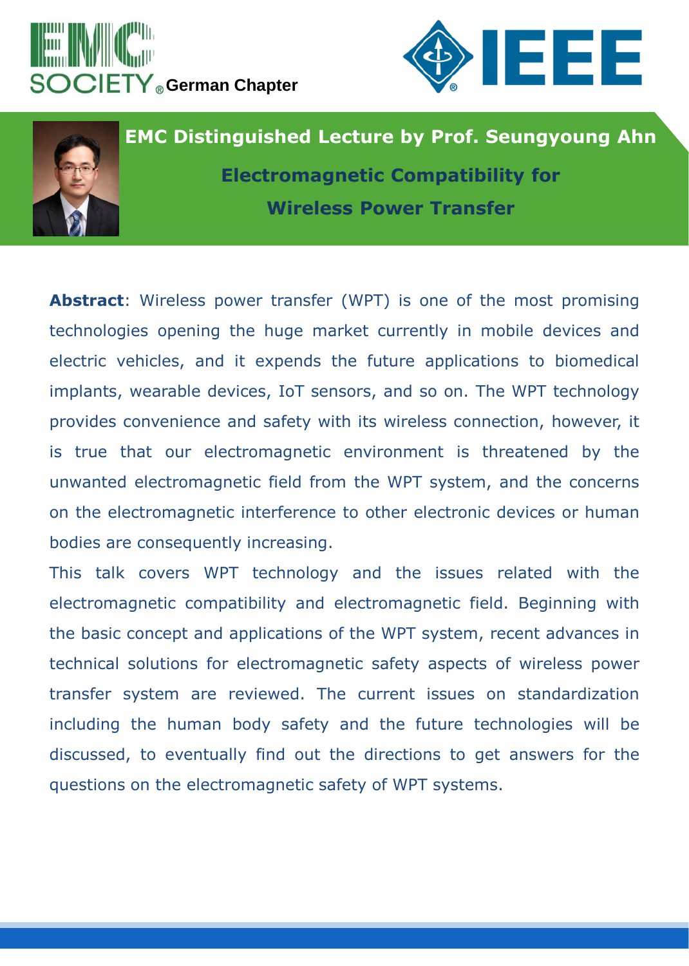





**Abstract**: Wireless power transfer (WPT) is one of the most promising technologies opening the huge market currently in mobile devices and electric vehicles, and it expends the future applications to biomedical implants, wearable devices, IoT sensors, and so on. The WPT technology provides convenience and safety with its wireless connection, however, it is true that our electromagnetic environment is threatened by the unwanted electromagnetic field from the WPT system, and the concerns on the electromagnetic interference to other electronic devices or human bodies are consequently increasing.

This talk covers WPT technology and the issues related with the electromagnetic compatibility and electromagnetic field. Beginning with the basic concept and applications of the WPT system, recent advances in technical solutions for electromagnetic safety aspects of wireless power transfer system are reviewed. The current issues on standardization including the human body safety and the future technologies will be discussed, to eventually find out the directions to get answers for the questions on the electromagnetic safety of WPT systems.